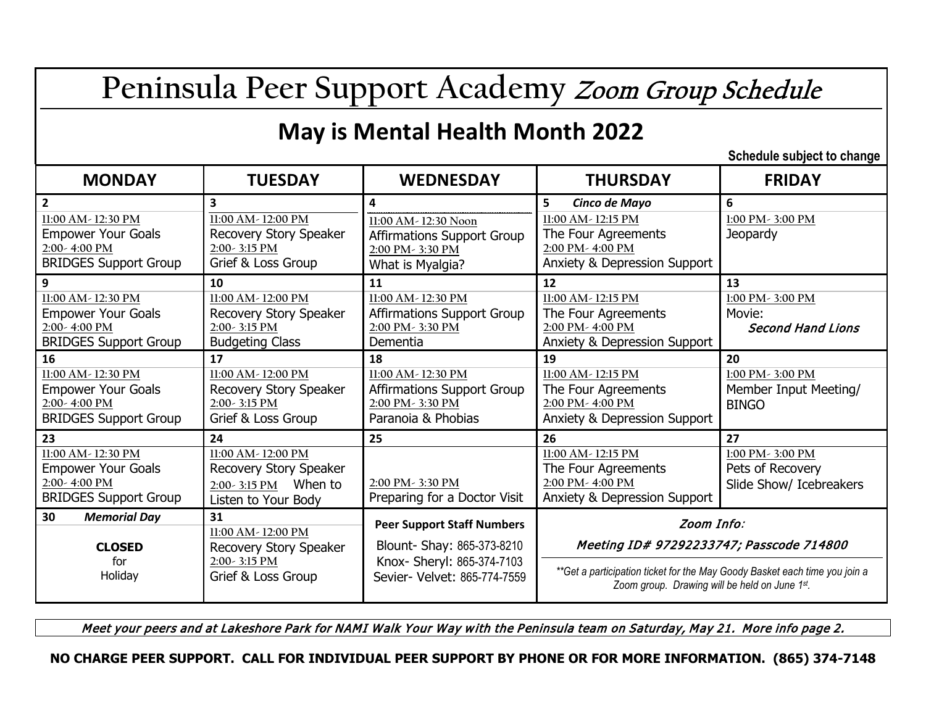# Peninsula Peer Support Academy *Zoom Group Schedule*

## **May is Mental Health Month 2022**

**Schedule subject to change**

| <b>MONDAY</b>                | <b>TUESDAY</b>         | <b>WEDNESDAY</b>                  | <b>THURSDAY</b>                                                            | <b>FRIDAY</b>            |
|------------------------------|------------------------|-----------------------------------|----------------------------------------------------------------------------|--------------------------|
| $\overline{2}$               | 3                      | 4                                 | 5.<br>Cinco de Mayo                                                        | 6                        |
| 11:00 AM - 12:30 PM          | 11:00 AM - 12:00 PM    | 11:00 AM - 12:30 Noon             | 11:00 AM - 12:15 PM                                                        | 1:00 PM - 3:00 PM        |
| <b>Empower Your Goals</b>    | Recovery Story Speaker | <b>Affirmations Support Group</b> | The Four Agreements                                                        | Jeopardy                 |
| 2:00-4:00 PM                 | 2:00 - 3:15 PM         | 2:00 PM - 3:30 PM                 | 2:00 PM - 4:00 PM                                                          |                          |
| <b>BRIDGES Support Group</b> | Grief & Loss Group     | What is Myalgia?                  | <b>Anxiety &amp; Depression Support</b>                                    |                          |
| 9                            | 10                     | 11                                | 12                                                                         | 13                       |
| 11:00 AM - 12:30 PM          | 11:00 AM - 12:00 PM    | 11:00 AM - 12:30 PM               | 11:00 AM - 12:15 PM                                                        | 1:00 PM - 3:00 PM        |
| <b>Empower Your Goals</b>    | Recovery Story Speaker | <b>Affirmations Support Group</b> | The Four Agreements                                                        | Movie:                   |
| $2:00-4:00$ PM               | $2:00 - 3:15$ PM       | 2:00 PM - 3:30 PM                 | 2:00 PM - 4:00 PM                                                          | <b>Second Hand Lions</b> |
| <b>BRIDGES Support Group</b> | <b>Budgeting Class</b> | Dementia                          | Anxiety & Depression Support                                               |                          |
| 16                           | 17                     | 18                                | 19                                                                         | 20                       |
| 11:00 AM - 12:30 PM          | 11:00 AM - 12:00 PM    | 11:00 AM - 12:30 PM               | 11:00 AM - 12:15 PM                                                        | 1:00 PM - 3:00 PM        |
| <b>Empower Your Goals</b>    | Recovery Story Speaker | <b>Affirmations Support Group</b> | The Four Agreements                                                        | Member Input Meeting/    |
| 2:00-4:00 PM                 | 2:00 - 3:15 PM         | 2:00 PM - 3:30 PM                 | 2:00 PM - 4:00 PM                                                          | <b>BINGO</b>             |
| <b>BRIDGES Support Group</b> | Grief & Loss Group     | Paranoia & Phobias                | <b>Anxiety &amp; Depression Support</b>                                    |                          |
| 23                           | 24                     | 25                                | 26                                                                         | 27                       |
| 11:00 AM - 12:30 PM          | 11:00 AM - 12:00 PM    |                                   | 11:00 AM - 12:15 PM                                                        | 1:00 PM - 3:00 PM        |
| <b>Empower Your Goals</b>    | Recovery Story Speaker |                                   | The Four Agreements                                                        | Pets of Recovery         |
| 2:00-4:00 PM                 | 2:00-3:15 PM When to   | 2:00 PM - 3:30 PM                 | 2:00 PM - 4:00 PM                                                          | Slide Show/ Icebreakers  |
| <b>BRIDGES Support Group</b> | Listen to Your Body    | Preparing for a Doctor Visit      | <b>Anxiety &amp; Depression Support</b>                                    |                          |
| 30<br><b>Memorial Day</b>    | 31                     | <b>Peer Support Staff Numbers</b> | Zoom Info:                                                                 |                          |
|                              | 11:00 AM - 12:00 PM    |                                   |                                                                            |                          |
| <b>CLOSED</b>                | Recovery Story Speaker | Blount- Shay: 865-373-8210        | Meeting ID# 97292233747; Passcode 714800                                   |                          |
| for                          | 2:00 - 3:15 PM         | Knox- Sheryl: 865-374-7103        | **Get a participation ticket for the May Goody Basket each time you join a |                          |
| Holiday                      | Grief & Loss Group     | Sevier- Velvet: 865-774-7559      | Zoom group. Drawing will be held on June 1st.                              |                          |

Meet your peers and at Lakeshore Park for NAMI Walk Your Way with the Peninsula team on Saturday, May 21. More info page 2.

**NO CHARGE PEER SUPPORT. CALL FOR INDIVIDUAL PEER SUPPORT BY PHONE OR FOR MORE INFORMATION. (865) 374-7148**